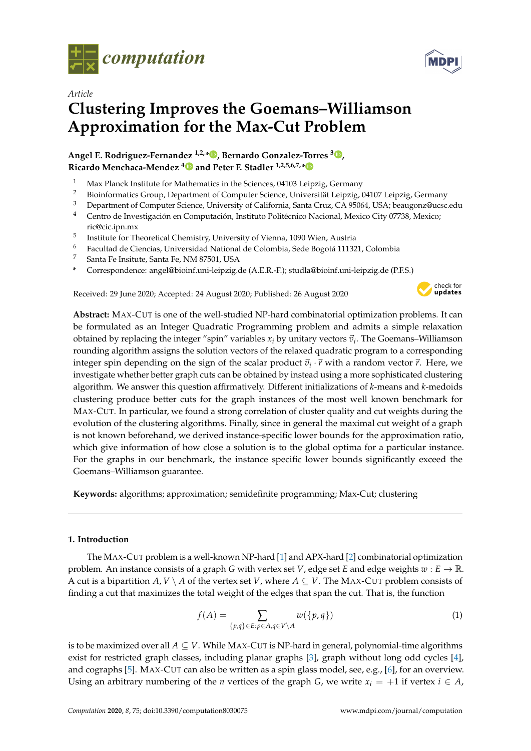



# *Article* **Clustering Improves the Goemans–Williamson Approximation for the Max-Cut Problem**

# **Angel E. Rodriguez-Fernandez 1,2,\* [,](https://orcid.org/0000-0002-2157-8077) Bernardo Gonzalez-Torres <sup>3</sup> [,](https://orcid.org/0000-0002-6525-0209) Ricardo Menchaca-Mendez [4](https://orcid.org/0000-0003-4064-732X) and Peter F. Stadler 1,2,5,6,7,[\\*](https://orcid.org/0000-0002-5016-5191)**

- <sup>1</sup> Max Planck Institute for Mathematics in the Sciences, 04103 Leipzig, Germany<br><sup>2</sup> Picinformatics Crown Department of Computer Science, Universität Leipzig, th
- <sup>2</sup> Bioinformatics Group, Department of Computer Science, Universität Leipzig, 04107 Leipzig, Germany
- <sup>3</sup> Department of Computer Science, University of California, Santa Cruz, CA 95064, USA; beaugonz@ucsc.edu
- <sup>4</sup> Centro de Investigación en Computación, Instituto Politécnico Nacional, Mexico City 07738, Mexico; ric@cic.ipn.mx
- 5 Institute for Theoretical Chemistry, University of Vienna, 1090 Wien, Austria
- <sup>6</sup> Facultad de Ciencias, Universidad National de Colombia, Sede Bogotá 111321, Colombia
- <sup>7</sup> Santa Fe Insitute, Santa Fe, NM 87501, USA
- **\*** Correspondence: angel@bioinf.uni-leipzig.de (A.E.R.-F.); studla@bioinf.uni-leipzig.de (P.F.S.)

Received: 29 June 2020; Accepted: 24 August 2020; Published: 26 August 2020



**Abstract:** MAX-CUT is one of the well-studied NP-hard combinatorial optimization problems. It can be formulated as an Integer Quadratic Programming problem and admits a simple relaxation obtained by replacing the integer "spin" variables  $x_i$  by unitary vectors  $\vec{v}_i$ . The Goemans–Williamson rounding algorithm assigns the solution vectors of the relaxed quadratic program to a corresponding integer spin depending on the sign of the scalar product  $\vec{v}_i \cdot \vec{r}$  with a random vector  $\vec{r}$ . Here, we investigate whether better graph cuts can be obtained by instead using a more sophisticated clustering algorithm. We answer this question affirmatively. Different initializations of *k*-means and *k*-medoids clustering produce better cuts for the graph instances of the most well known benchmark for MAX-CUT. In particular, we found a strong correlation of cluster quality and cut weights during the evolution of the clustering algorithms. Finally, since in general the maximal cut weight of a graph is not known beforehand, we derived instance-specific lower bounds for the approximation ratio, which give information of how close a solution is to the global optima for a particular instance. For the graphs in our benchmark, the instance specific lower bounds significantly exceed the Goemans–Williamson guarantee.

**Keywords:** algorithms; approximation; semidefinite programming; Max-Cut; clustering

# **1. Introduction**

The MAX-CUT problem is a well-known NP-hard [\[1\]](#page-10-0) and APX-hard [\[2\]](#page-10-1) combinatorial optimization problem. An instance consists of a graph *G* with vertex set *V*, edge set *E* and edge weights  $w : E \to \mathbb{R}$ . A cut is a bipartition  $A, V \setminus A$  of the vertex set *V*, where  $A \subseteq V$ . The MAX-CUT problem consists of finding a cut that maximizes the total weight of the edges that span the cut. That is, the function

$$
f(A) = \sum_{\{p,q\} \in E: p \in A, q \in V \setminus A} w(\{p,q\})
$$
 (1)

is to be maximized over all  $A \subseteq V$ . While MAX-CUT is NP-hard in general, polynomial-time algorithms exist for restricted graph classes, including planar graphs [\[3\]](#page-10-2), graph without long odd cycles [\[4\]](#page-10-3), and cographs [\[5\]](#page-10-4). MAX-CUT can also be written as a spin glass model, see, e.g., [\[6\]](#page-10-5), for an overview. Using an arbitrary numbering of the *n* vertices of the graph *G*, we write  $x_i = +1$  if vertex  $i \in A$ ,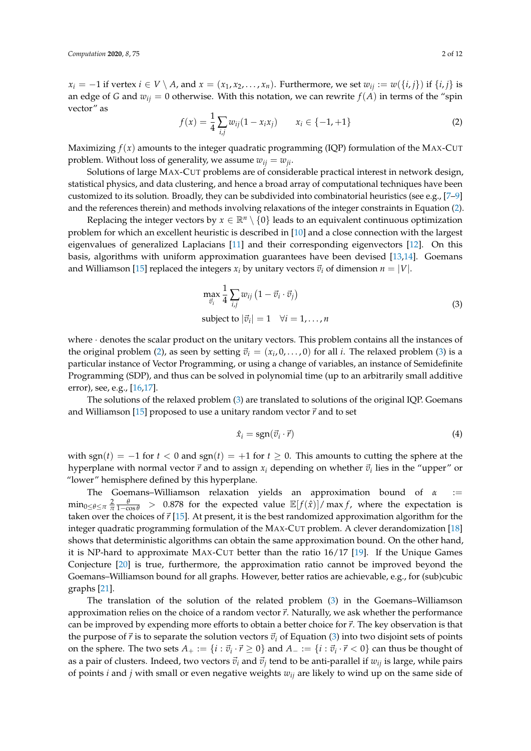$x_i = -1$  if vertex  $i \in V \setminus A$ , and  $x = (x_1, x_2, \ldots, x_n)$ . Furthermore, we set  $w_{ij} := w(\{i, j\})$  if  $\{i, j\}$  is an edge of *G* and  $w_{ij} = 0$  otherwise. With this notation, we can rewrite  $f(A)$  in terms of the "spin vector" as

<span id="page-1-0"></span>
$$
f(x) = \frac{1}{4} \sum_{i,j} w_{ij} (1 - x_i x_j) \qquad x_i \in \{-1, +1\}
$$
 (2)

Maximizing  $f(x)$  amounts to the integer quadratic programming (IQP) formulation of the MAX-CUT problem. Without loss of generality, we assume  $w_{ij} = w_{ji}$ .

Solutions of large MAX-CUT problems are of considerable practical interest in network design, statistical physics, and data clustering, and hence a broad array of computational techniques have been customized to its solution. Broadly, they can be subdivided into combinatorial heuristics (see e.g., [\[7–](#page-10-6)[9\]](#page-10-7) and the references therein) and methods involving relaxations of the integer constraints in Equation [\(2\)](#page-1-0).

Replacing the integer vectors by  $x \in \mathbb{R}^n \setminus \{0\}$  leads to an equivalent continuous optimization problem for which an excellent heuristic is described in [\[10\]](#page-10-8) and a close connection with the largest eigenvalues of generalized Laplacians [\[11\]](#page-10-9) and their corresponding eigenvectors [\[12\]](#page-10-10). On this basis, algorithms with uniform approximation guarantees have been devised [\[13,](#page-10-11)[14\]](#page-11-0). Goemans and Williamson [\[15\]](#page-11-1) replaced the integers  $x_i$  by unitary vectors  $\vec{v}_i$  of dimension  $n = |V|$ .

<span id="page-1-1"></span>
$$
\max_{\vec{v}_i} \frac{1}{4} \sum_{i,j} w_{ij} (1 - \vec{v}_i \cdot \vec{v}_j)
$$
  
subject to  $|\vec{v}_i| = 1 \quad \forall i = 1, ..., n$  (3)

where · denotes the scalar product on the unitary vectors. This problem contains all the instances of the original problem [\(2\)](#page-1-0), as seen by setting  $\vec{v}_i = (x_i, 0, \dots, 0)$  for all *i*. The relaxed problem [\(3\)](#page-1-1) is a particular instance of Vector Programming, or using a change of variables, an instance of Semidefinite Programming (SDP), and thus can be solved in polynomial time (up to an arbitrarily small additive error), see, e.g., [\[16](#page-11-2)[,17\]](#page-11-3).

The solutions of the relaxed problem [\(3\)](#page-1-1) are translated to solutions of the original IQP. Goemans and Williamson [\[15\]](#page-11-1) proposed to use a unitary random vector  $\vec{r}$  and to set

$$
\hat{x}_i = \text{sgn}(\vec{v}_i \cdot \vec{r}) \tag{4}
$$

with sgn( $t$ ) = −1 for  $t$  < 0 and sgn( $t$ ) = +1 for  $t \ge 0$ . This amounts to cutting the sphere at the hyperplane with normal vector  $\vec{r}$  and to assign  $x_i$  depending on whether  $\vec{v}_i$  lies in the "upper" or "lower" hemisphere defined by this hyperplane.

The Goemans–Williamson relaxation yields an approximation bound of *α* :=  $\min_{0\leq\theta\leq\pi}\frac{2}{\pi}\frac{\theta}{1-\cos\theta}$  > 0.878 for the expected value  $\mathbb{E}[f(\hat{x})]/\max f$ , where the expectation is taken over the choices of  $\vec{r}$  [\[15\]](#page-11-1). At present, it is the best randomized approximation algorithm for the integer quadratic programming formulation of the MAX-CUT problem. A clever derandomization [\[18\]](#page-11-4) shows that deterministic algorithms can obtain the same approximation bound. On the other hand, it is NP-hard to approximate MAX-CUT better than the ratio 16/17 [\[19\]](#page-11-5). If the Unique Games Conjecture [\[20\]](#page-11-6) is true, furthermore, the approximation ratio cannot be improved beyond the Goemans–Williamson bound for all graphs. However, better ratios are achievable, e.g., for (sub)cubic graphs [\[21\]](#page-11-7).

The translation of the solution of the related problem [\(3\)](#page-1-1) in the Goemans–Williamson approximation relies on the choice of a random vector  $\vec{r}$ . Naturally, we ask whether the performance can be improved by expending more efforts to obtain a better choice for  $\vec{r}$ . The key observation is that the purpose of  $\vec{r}$  is to separate the solution vectors  $\vec{v}_i$  of Equation [\(3\)](#page-1-1) into two disjoint sets of points on the sphere. The two sets  $A_+ := \{i : \vec{v}_i \cdot \vec{r} \ge 0\}$  and  $A_- := \{i : \vec{v}_i \cdot \vec{r} < 0\}$  can thus be thought of as a pair of clusters. Indeed, two vectors  $\vec{v}_i$  and  $\vec{v}_j$  tend to be anti-parallel if  $w_{ij}$  is large, while pairs of points *i* and *j* with small or even negative weights *wij* are likely to wind up on the same side of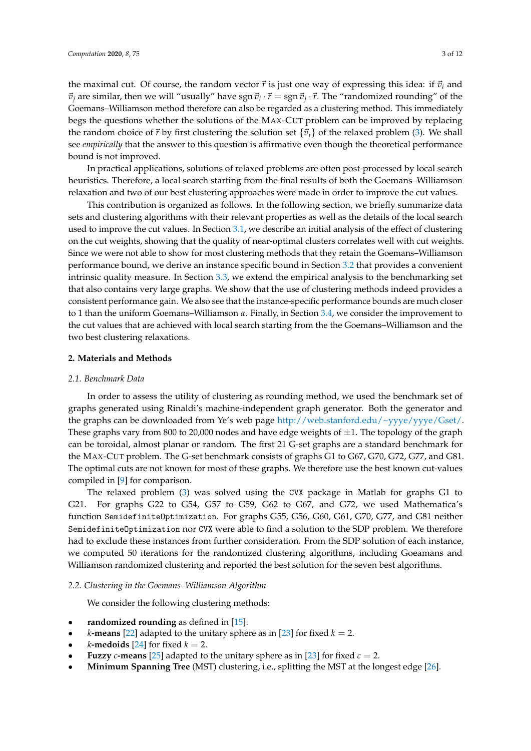the maximal cut. Of course, the random vector  $\vec{r}$  is just one way of expressing this idea: if  $\vec{v}_i$  and  $\vec{v}_j$  are similar, then we will "usually" have sgn  $\vec{v}_i \cdot \vec{r} =$  sgn  $\vec{v}_j \cdot \vec{r}$ . The "randomized rounding" of the Goemans–Williamson method therefore can also be regarded as a clustering method. This immediately begs the questions whether the solutions of the MAX-CUT problem can be improved by replacing the random choice of  $\vec{r}$  by first clustering the solution set  $\{\vec{v}_i\}$  of the relaxed problem [\(3\)](#page-1-1). We shall see *empirically* that the answer to this question is affirmative even though the theoretical performance bound is not improved.

In practical applications, solutions of relaxed problems are often post-processed by local search heuristics. Therefore, a local search starting from the final results of both the Goemans–Williamson relaxation and two of our best clustering approaches were made in order to improve the cut values.

This contribution is organized as follows. In the following section, we briefly summarize data sets and clustering algorithms with their relevant properties as well as the details of the local search used to improve the cut values. In Section [3.1,](#page-4-0) we describe an initial analysis of the effect of clustering on the cut weights, showing that the quality of near-optimal clusters correlates well with cut weights. Since we were not able to show for most clustering methods that they retain the Goemans–Williamson performance bound, we derive an instance specific bound in Section [3.2](#page-5-0) that provides a convenient intrinsic quality measure. In Section [3.3,](#page-5-1) we extend the empirical analysis to the benchmarking set that also contains very large graphs. We show that the use of clustering methods indeed provides a consistent performance gain. We also see that the instance-specific performance bounds are much closer to 1 than the uniform Goemans–Williamson *α*. Finally, in Section [3.4,](#page-8-0) we consider the improvement to the cut values that are achieved with local search starting from the the Goemans–Williamson and the two best clustering relaxations.

## **2. Materials and Methods**

#### *2.1. Benchmark Data*

In order to assess the utility of clustering as rounding method, we used the benchmark set of graphs generated using Rinaldi's machine-independent graph generator. Both the generator and the graphs can be downloaded from Ye's web page [http://web.stanford.edu/~yyye/yyye/Gset/.](http://web.stanford.edu/~yyye/yyye/Gset/) These graphs vary from 800 to 20,000 nodes and have edge weights of  $\pm 1$ . The topology of the graph can be toroidal, almost planar or random. The first 21 G-set graphs are a standard benchmark for the MAX-CUT problem. The G-set benchmark consists of graphs G1 to G67, G70, G72, G77, and G81. The optimal cuts are not known for most of these graphs. We therefore use the best known cut-values compiled in [\[9\]](#page-10-7) for comparison.

The relaxed problem [\(3\)](#page-1-1) was solved using the CVX package in Matlab for graphs G1 to G21. For graphs G22 to G54, G57 to G59, G62 to G67, and G72, we used Mathematica's function SemidefiniteOptimization. For graphs G55, G56, G60, G61, G70, G77, and G81 neither SemidefiniteOptimization nor CVX were able to find a solution to the SDP problem. We therefore had to exclude these instances from further consideration. From the SDP solution of each instance, we computed 50 iterations for the randomized clustering algorithms, including Goeamans and Williamson randomized clustering and reported the best solution for the seven best algorithms.

#### *2.2. Clustering in the Goemans–Williamson Algorithm*

We consider the following clustering methods:

- randomized rounding as defined in [\[15\]](#page-11-1).
- *k***-means** [\[22\]](#page-11-8) adapted to the unitary sphere as in [\[23\]](#page-11-9) for fixed  $k = 2$ .
- *k***-medoids** [\[24\]](#page-11-10) for fixed  $k = 2$ .
- **Fuzzy** *c*-means [\[25\]](#page-11-11) adapted to the unitary sphere as in [\[23\]](#page-11-9) for fixed  $c = 2$ .
- **Minimum Spanning Tree** (MST) clustering, i.e., splitting the MST at the longest edge [\[26\]](#page-11-12).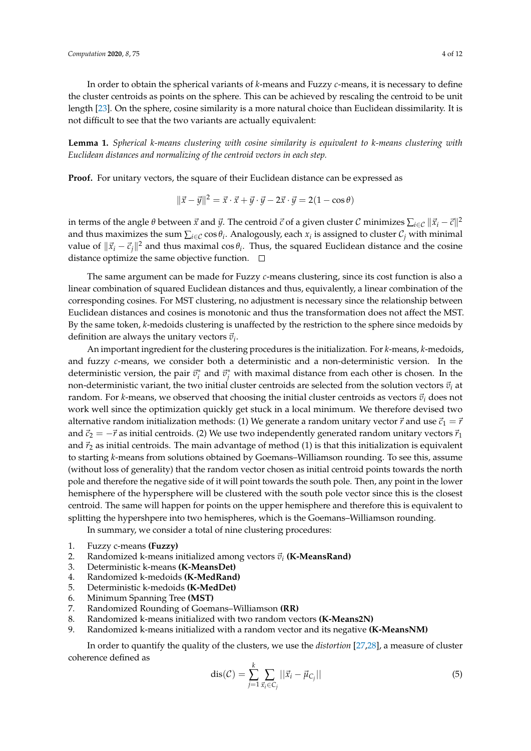In order to obtain the spherical variants of *k*-means and Fuzzy *c*-means, it is necessary to define the cluster centroids as points on the sphere. This can be achieved by rescaling the centroid to be unit length [\[23\]](#page-11-9). On the sphere, cosine similarity is a more natural choice than Euclidean dissimilarity. It is not difficult to see that the two variants are actually equivalent:

**Lemma 1.** *Spherical k-means clustering with cosine similarity is equivalent to k-means clustering with Euclidean distances and normalizing of the centroid vectors in each step.*

**Proof.** For unitary vectors, the square of their Euclidean distance can be expressed as

$$
\|\vec{x} - \vec{y}\|^2 = \vec{x} \cdot \vec{x} + \vec{y} \cdot \vec{y} - 2\vec{x} \cdot \vec{y} = 2(1 - \cos \theta)
$$

in terms of the angle  $\theta$  between  $\vec{x}$  and  $\vec{y}$ . The centroid  $\vec{c}$  of a given cluster  $\cal C$  minimizes  $\sum_{i\in\mathcal{C}}\|\vec{x}_i-\vec{c}\|^2$ and thus maximizes the sum  $\sum_{i\in\mathcal{C}}\cos\theta_i$ . Analogously, each  $x_i$  is assigned to cluster  $\mathcal{C}_j$  with minimal value of  $\|\vec{x}_i - \vec{c}_j\|^2$  and thus maximal cos  $\theta_i$ . Thus, the squared Euclidean distance and the cosine distance optimize the same objective function.  $\Box$ 

The same argument can be made for Fuzzy *c*-means clustering, since its cost function is also a linear combination of squared Euclidean distances and thus, equivalently, a linear combination of the corresponding cosines. For MST clustering, no adjustment is necessary since the relationship between Euclidean distances and cosines is monotonic and thus the transformation does not affect the MST. By the same token, *k*-medoids clustering is unaffected by the restriction to the sphere since medoids by definition are always the unitary vectors  $\vec{v}_i$ .

An important ingredient for the clustering procedures is the initialization. For *k*-means, *k*-medoids, and fuzzy *c*-means, we consider both a deterministic and a non-deterministic version. In the deterministic version, the pair  $\vec{v}_i^*$  and  $\vec{v}_j^*$  with maximal distance from each other is chosen. In the non-deterministic variant, the two initial cluster centroids are selected from the solution vectors  $\vec{v}_i$  at random. For *k*-means, we observed that choosing the initial cluster centroids as vectors  $\vec{v}_i$  does not work well since the optimization quickly get stuck in a local minimum. We therefore devised two alternative random initialization methods: (1) We generate a random unitary vector  $\vec{r}$  and use  $\vec{c}_1 = \vec{r}$ and  $\vec{c}_2 = -\vec{r}$  as initial centroids. (2) We use two independently generated random unitary vectors  $\vec{r}_1$ and  $\vec{r}_2$  as initial centroids. The main advantage of method (1) is that this initialization is equivalent to starting *k*-means from solutions obtained by Goemans–Williamson rounding. To see this, assume (without loss of generality) that the random vector chosen as initial centroid points towards the north pole and therefore the negative side of it will point towards the south pole. Then, any point in the lower hemisphere of the hypersphere will be clustered with the south pole vector since this is the closest centroid. The same will happen for points on the upper hemisphere and therefore this is equivalent to splitting the hypershpere into two hemispheres, which is the Goemans–Williamson rounding.

In summary, we consider a total of nine clustering procedures:

- 1. Fuzzy c-means **(Fuzzy)**
- 2. Randomized k-means initialized among vectors  $\vec{v}_i$  (**K-MeansRand**)
- 3. Deterministic k-means **(K-MeansDet)**
- 4. Randomized k-medoids **(K-MedRand)**
- 5. Deterministic k-medoids **(K-MedDet)**
- 6. Minimum Spanning Tree **(MST)**
- 7. Randomized Rounding of Goemans–Williamson **(RR)**
- 8. Randomized k-means initialized with two random vectors **(K-Means2N)**
- 9. Randomized k-means initialized with a random vector and its negative **(K-MeansNM)**

In order to quantify the quality of the clusters, we use the *distortion* [\[27,](#page-11-13)[28\]](#page-11-14), a measure of cluster coherence defined as

$$
dis(C) = \sum_{j=1}^{k} \sum_{\vec{x}_i \in C_j} ||\vec{x}_i - \vec{\mu}_{C_j}||
$$
\n(5)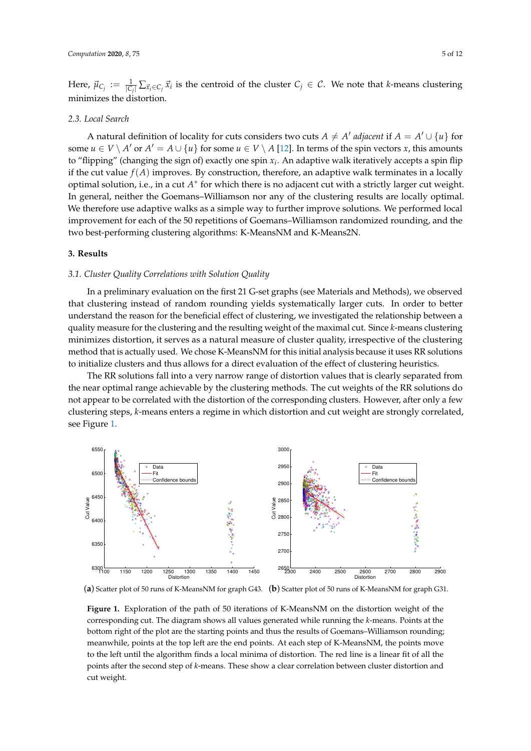Here,  $\vec{\mu}_{C_j} := \frac{1}{|C_j|} \sum_{\vec{x}_i \in C_j} \vec{x}_i$  is the centroid of the cluster  $C_j \in \mathcal{C}$ . We note that *k*-means clustering minimizes the distortion.

## *2.3. Local Search*

A natural definition of locality for cuts considers two cuts  $A \neq A'$  adjacent if  $A = A' \cup \{u\}$  for some  $u \in V \setminus A'$  or  $A' = A \cup \{u\}$  for some  $u \in V \setminus A$  [\[12\]](#page-10-10). In terms of the spin vectors *x*, this amounts to "flipping" (changing the sign of) exactly one spin *x<sup>i</sup>* . An adaptive walk iteratively accepts a spin flip if the cut value  $f(A)$  improves. By construction, therefore, an adaptive walk terminates in a locally optimal solution, i.e., in a cut *A*<sup>\*</sup> for which there is no adjacent cut with a strictly larger cut weight. In general, neither the Goemans–Williamson nor any of the clustering results are locally optimal. We therefore use adaptive walks as a simple way to further improve solutions. We performed local improvement for each of the 50 repetitions of Goemans–Williamson randomized rounding, and the two best-performing clustering algorithms: K-MeansNM and K-Means2N.

# **3. Results**

#### <span id="page-4-0"></span>*3.1. Cluster Quality Correlations with Solution Quality*

In a preliminary evaluation on the first 21 G-set graphs (see Materials and Methods), we observed that clustering instead of random rounding yields systematically larger cuts. In order to better understand the reason for the beneficial effect of clustering, we investigated the relationship between a quality measure for the clustering and the resulting weight of the maximal cut. Since *k*-means clustering minimizes distortion, it serves as a natural measure of cluster quality, irrespective of the clustering method that is actually used. We chose K-MeansNM for this initial analysis because it uses RR solutions to initialize clusters and thus allows for a direct evaluation of the effect of clustering heuristics.

The RR solutions fall into a very narrow range of distortion values that is clearly separated from the near optimal range achievable by the clustering methods. The cut weights of the RR solutions do not appear to be correlated with the distortion of the corresponding clusters. However, after only a few clustering steps, *k*-means enters a regime in which distortion and cut weight are strongly correlated, see Figure [1.](#page-4-1)

<span id="page-4-1"></span>

(**a**) Scatter plot of 50 runs of K-MeansNM for graph G43. (**b**) Scatter plot of 50 runs of K-MeansNM for graph G31.

**Figure 1.** Exploration of the path of 50 iterations of K-MeansNM on the distortion weight of the corresponding cut. The diagram shows all values generated while running the *k*-means. Points at the bottom right of the plot are the starting points and thus the results of Goemans–Williamson rounding; meanwhile, points at the top left are the end points. At each step of K-MeansNM, the points move to the left until the algorithm finds a local minima of distortion. The red line is a linear fit of all the points after the second step of *k*-means. These show a clear correlation between cluster distortion and cut weight.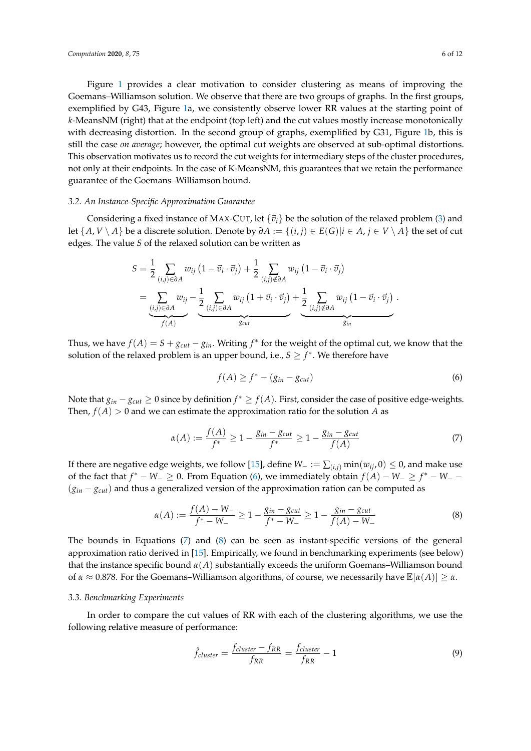Figure [1](#page-4-1) provides a clear motivation to consider clustering as means of improving the Goemans–Williamson solution. We observe that there are two groups of graphs. In the first groups, exemplified by G43, Figure [1a](#page-4-1), we consistently observe lower RR values at the starting point of *k*-MeansNM (right) that at the endpoint (top left) and the cut values mostly increase monotonically with decreasing distortion. In the second group of graphs, exemplified by G31, Figure [1b](#page-4-1), this is still the case *on average*; however, the optimal cut weights are observed at sub-optimal distortions. This observation motivates us to record the cut weights for intermediary steps of the cluster procedures, not only at their endpoints. In the case of K-MeansNM, this guarantees that we retain the performance guarantee of the Goemans–Williamson bound.

## <span id="page-5-0"></span>*3.2. An Instance-Specific Approximation Guarantee*

Considering a fixed instance of MAX-CUT, let  $\{\vec{v}_i\}$  be the solution of the relaxed problem [\(3\)](#page-1-1) and let  $\{A, V \setminus A\}$  be a discrete solution. Denote by  $\partial A := \{(i, j) \in E(G) | i \in A, j \in V \setminus A\}$  the set of cut edges. The value *S* of the relaxed solution can be written as

$$
S = \frac{1}{2} \sum_{(i,j) \in \partial A} w_{ij} (1 - \vec{v}_i \cdot \vec{v}_j) + \frac{1}{2} \sum_{(i,j) \notin \partial A} w_{ij} (1 - \vec{v}_i \cdot \vec{v}_j)
$$
  
= 
$$
\underbrace{\sum_{(i,j) \in \partial A} w_{ij}}_{f(A)} - \underbrace{\frac{1}{2} \sum_{(i,j) \in \partial A} w_{ij} (1 + \vec{v}_i \cdot \vec{v}_j)}_{g_{cut}} + \underbrace{\frac{1}{2} \sum_{(i,j) \notin \partial A} w_{ij} (1 - \vec{v}_i \cdot \vec{v}_j)}_{g_{in}}.
$$

Thus, we have  $f(A) = S + g_{cut} - g_{in}$ . Writing  $f^*$  for the weight of the optimal cut, we know that the solution of the relaxed problem is an upper bound, i.e.,  $S \geq f^*$ . We therefore have

<span id="page-5-2"></span>
$$
f(A) \ge f^* - (g_{in} - g_{cut})
$$
\n<sup>(6)</sup>

Note that  $g_{in} - g_{cut} \ge 0$  since by definition  $f^* \ge f(A)$ . First, consider the case of positive edge-weights. Then,  $f(A) > 0$  and we can estimate the approximation ratio for the solution *A* as

<span id="page-5-3"></span>
$$
\alpha(A) := \frac{f(A)}{f^*} \ge 1 - \frac{g_{in} - g_{cut}}{f^*} \ge 1 - \frac{g_{in} - g_{cut}}{f(A)}
$$
(7)

If there are negative edge weights, we follow [\[15\]](#page-11-1), define *W*<sup>−</sup> := ∑(*i*,*j*) min(*wij*, 0) ≤ 0, and make use of the fact that  $f^* - W_-\geq 0$ . From Equation [\(6\)](#page-5-2), we immediately obtain  $f(A) - W_-\geq f^* - W_-\sim 0$ (*gin* − *gcut*) and thus a generalized version of the approximation ration can be computed as

<span id="page-5-4"></span>
$$
\alpha(A) := \frac{f(A) - W_-}{f^* - W_-} \ge 1 - \frac{g_{in} - g_{cut}}{f^* - W_-} \ge 1 - \frac{g_{in} - g_{cut}}{f(A) - W_-}
$$
(8)

The bounds in Equations [\(7\)](#page-5-3) and [\(8\)](#page-5-4) can be seen as instant-specific versions of the general approximation ratio derived in [\[15\]](#page-11-1). Empirically, we found in benchmarking experiments (see below) that the instance specific bound  $\alpha(A)$  substantially exceeds the uniform Goemans–Williamson bound of *α* ≈ 0.878. For the Goemans–Williamson algorithms, of course, we necessarily have E[*α*(*A*)] ≥ *α*.

#### <span id="page-5-1"></span>*3.3. Benchmarking Experiments*

In order to compare the cut values of RR with each of the clustering algorithms, we use the following relative measure of performance:

$$
\hat{f}_{cluster} = \frac{f_{cluster} - f_{RR}}{f_{RR}} = \frac{f_{cluster}}{f_{RR}} - 1
$$
\n(9)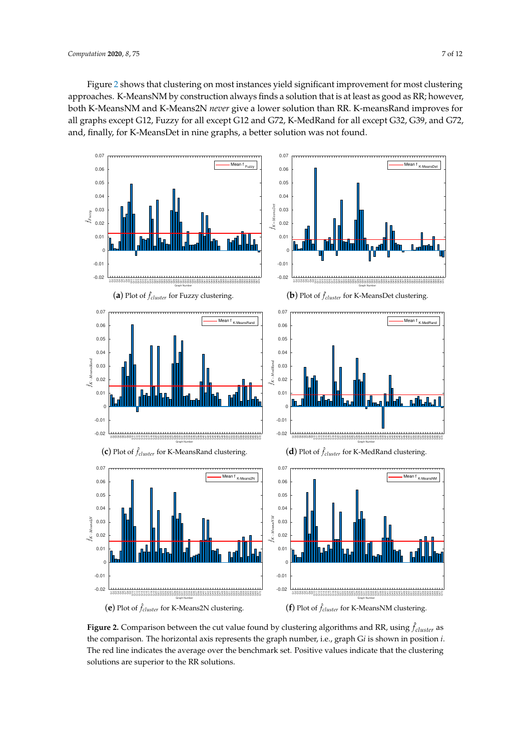Figure [2](#page-6-0) shows that clustering on most instances yield significant improvement for most clustering approaches. K-MeansNM by construction always finds a solution that is at least as good as RR; however, both K-MeansNM and K-Means2N *never* give a lower solution than RR. K-meansRand improves for all graphs except G12, Fuzzy for all except G12 and G72, K-MedRand for all except G32, G39, and G72, and, finally, for K-MeansDet in nine graphs, a better solution was not found.

<span id="page-6-0"></span>

**Figure 2.** Comparison between the cut value found by clustering algorithms and RR, using  $\hat{f}_{cluster}$  as the comparison. The horizontal axis represents the graph number, i.e., graph G*i* is shown in position *i*. The red line indicates the average over the benchmark set. Positive values indicate that the clustering solutions are superior to the RR solutions.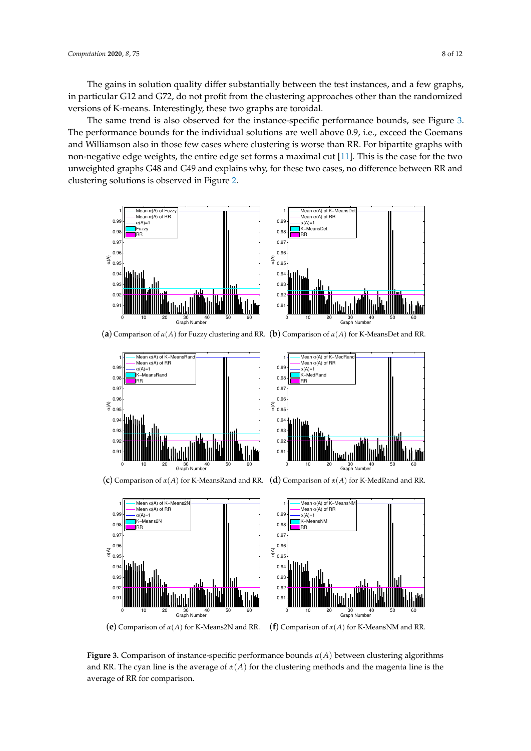The gains in solution quality differ substantially between the test instances, and a few graphs, in particular G12 and G72, do not profit from the clustering approaches other than the randomized versions of K-means. Interestingly, these two graphs are toroidal.

The same trend is also observed for the instance-specific performance bounds, see Figure [3.](#page-7-0) The performance bounds for the individual solutions are well above 0.9, i.e., exceed the Goemans and Williamson also in those few cases where clustering is worse than RR. For bipartite graphs with non-negative edge weights, the entire edge set forms a maximal cut [\[11\]](#page-10-9). This is the case for the two unweighted graphs G48 and G49 and explains why, for these two cases, no difference between RR and clustering solutions is observed in Figure [2.](#page-6-0)

<span id="page-7-0"></span>



(**a**) Comparison of *α*(*A*) for Fuzzy clustering and RR. (**b**) Comparison of *α*(*A*) for K-MeansDet and RR.



Mean α(A) of K−MedRand Mean α(A) of RR  $\alpha(A)=1$ . .,– .<br>-MedRand RR Madall 0 10 20 30 40 50 60 Graph Number

(**c**) Comparison of *α*(*A*) for K-MeansRand and RR. (**d**) Comparison of *α*(*A*) for K-MedRand and RR.

 $0.9$  $0.9$ 0.93 0.94  $\widetilde{\mathcal{E}}_{0.95}$  $0.9$  $0.9$  $0.9$  $\overline{0}$ . 1H.





(**e**) Comparison of *α*(*A*) for K-Means2N and RR. (**f**) Comparison of *α*(*A*) for K-MeansNM and RR.

**Figure 3.** Comparison of instance-specific performance bounds *α*(*A*) between clustering algorithms and RR. The cyan line is the average of  $\alpha(A)$  for the clustering methods and the magenta line is the average of RR for comparison.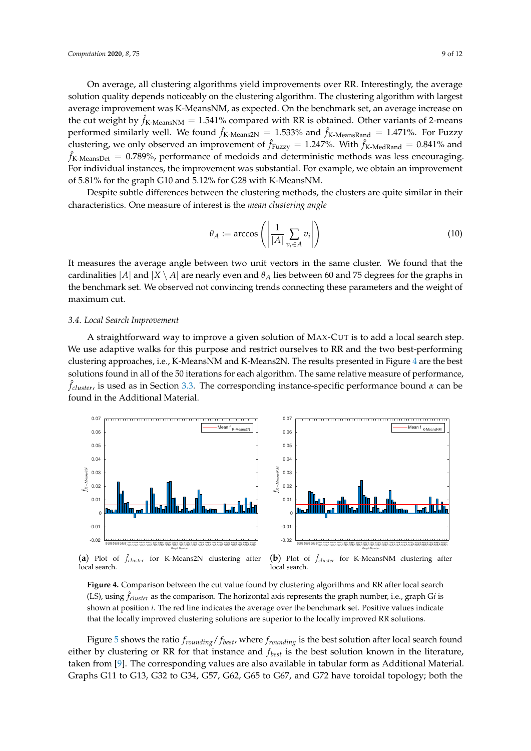On average, all clustering algorithms yield improvements over RR. Interestingly, the average solution quality depends noticeably on the clustering algorithm. The clustering algorithm with largest average improvement was K-MeansNM, as expected. On the benchmark set, an average increase on the cut weight by  $\hat{f}_{\text{K-MeansNM}} = 1.541\%$  compared with RR is obtained. Other variants of 2-means performed similarly well. We found  $\hat{f}_{K\text{-Means2N}} = 1.533\%$  and  $\hat{f}_{K\text{-MeansRand}} = 1.471\%$ . For Fuzzy clustering, we only observed an improvement of  $\hat{f}_{Fuzzy} = 1.247\%$ . With  $\hat{f}_{K\text{-MedRand}} = 0.841\%$  and  $\hat{f}_{\text{K-MeansDet}} = 0.789\%$ , performance of medoids and deterministic methods was less encouraging. For individual instances, the improvement was substantial. For example, we obtain an improvement of 5.81% for the graph G10 and 5.12% for G28 with K-MeansNM.

Despite subtle differences between the clustering methods, the clusters are quite similar in their characteristics. One measure of interest is the *mean clustering angle*

$$
\theta_A := \arccos\left(\left|\frac{1}{|A|} \sum_{v_i \in A} v_i\right|\right) \tag{10}
$$

It measures the average angle between two unit vectors in the same cluster. We found that the cardinalities  $|A|$  and  $|X \setminus A|$  are nearly even and  $\theta_A$  lies between 60 and 75 degrees for the graphs in the benchmark set. We observed not convincing trends connecting these parameters and the weight of maximum cut.

#### <span id="page-8-0"></span>*3.4. Local Search Improvement*

A straightforward way to improve a given solution of MAX-CUT is to add a local search step. We use adaptive walks for this purpose and restrict ourselves to RR and the two best-performing clustering approaches, i.e., K-MeansNM and K-Means2N. The results presented in Figure [4](#page-8-1) are the best solutions found in all of the 50 iterations for each algorithm. The same relative measure of performance, ˆ *fcluster*, is used as in Section [3.3.](#page-5-1) The corresponding instance-specific performance bound *α* can be found in the Additional Material.

<span id="page-8-1"></span>

(**a**) Plot of ˆ *fcluster* for K-Means2N clustering after local search.

(**b**) Plot of ˆ *fcluster* for K-MeansNM clustering after local search.

**Figure 4.** Comparison between the cut value found by clustering algorithms and RR after local search (LS), using  $\hat{f}_{cluster}$  as the comparison. The horizontal axis represents the graph number, i.e., graph G*i* is shown at position *i*. The red line indicates the average over the benchmark set. Positive values indicate that the locally improved clustering solutions are superior to the locally improved RR solutions.

Figure [5](#page-9-0) shows the ratio *frounding*/ *fbest*, where *frounding* is the best solution after local search found either by clustering or RR for that instance and *fbest* is the best solution known in the literature, taken from [\[9\]](#page-10-7). The corresponding values are also available in tabular form as Additional Material. Graphs G11 to G13, G32 to G34, G57, G62, G65 to G67, and G72 have toroidal topology; both the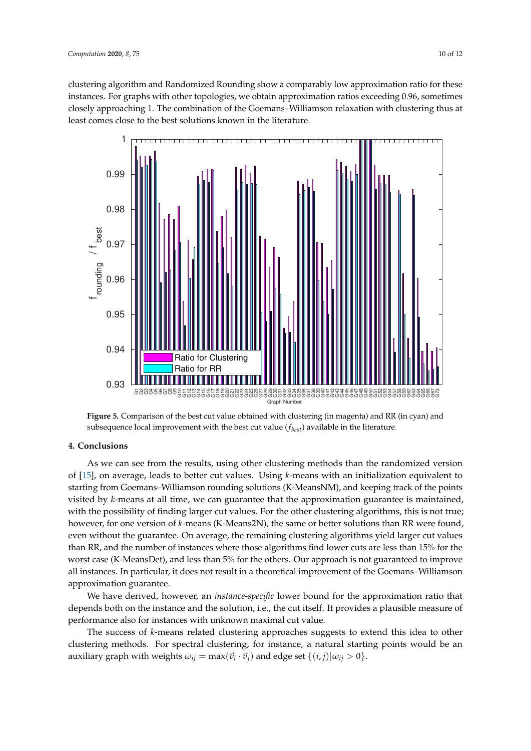clustering algorithm and Randomized Rounding show a comparably low approximation ratio for these instances. For graphs with other topologies, we obtain approximation ratios exceeding 0.96, sometimes closely approaching 1. The combination of the Goemans–Williamson relaxation with clustering thus at least comes close to the best solutions known in the literature.

<span id="page-9-0"></span>

**Figure 5.** Comparison of the best cut value obtained with clustering (in magenta) and RR (in cyan) and subsequence local improvement with the best cut value (*fbest*) available in the literature.

# **4. Conclusions**

As we can see from the results, using other clustering methods than the randomized version of [\[15\]](#page-11-1), on average, leads to better cut values. Using *k*-means with an initialization equivalent to starting from Goemans–Williamson rounding solutions (K-MeansNM), and keeping track of the points visited by *k*-means at all time, we can guarantee that the approximation guarantee is maintained, with the possibility of finding larger cut values. For the other clustering algorithms, this is not true; however, for one version of *k*-means (K-Means2N), the same or better solutions than RR were found, even without the guarantee. On average, the remaining clustering algorithms yield larger cut values than RR, and the number of instances where those algorithms find lower cuts are less than 15% for the worst case (K-MeansDet), and less than 5% for the others. Our approach is not guaranteed to improve all instances. In particular, it does not result in a theoretical improvement of the Goemans–Williamson approximation guarantee.

We have derived, however, an *instance-specific* lower bound for the approximation ratio that depends both on the instance and the solution, i.e., the cut itself. It provides a plausible measure of performance also for instances with unknown maximal cut value.

The success of *k*-means related clustering approaches suggests to extend this idea to other clustering methods. For spectral clustering, for instance, a natural starting points would be an  $\alpha$  auxiliary graph with weights  $\omega_{ij} = \max(\vec{v}_i \cdot \vec{v}_j)$  and edge set  $\{(i, j) | \omega_{ij} > 0\}.$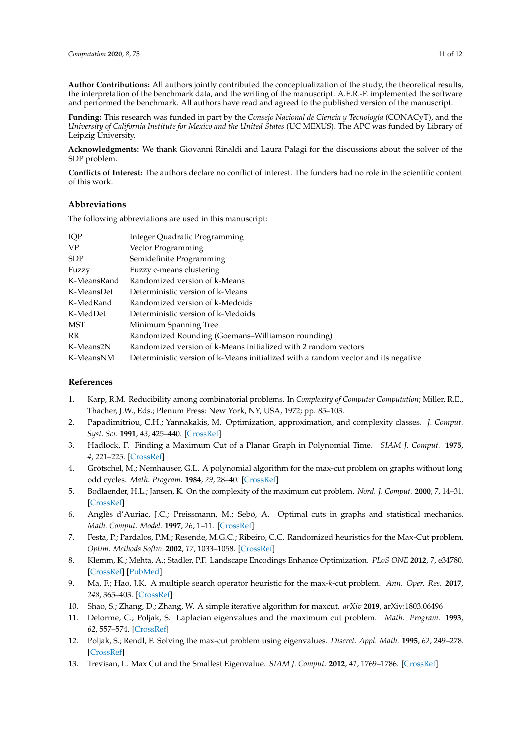**Author Contributions:** All authors jointly contributed the conceptualization of the study, the theoretical results, the interpretation of the benchmark data, and the writing of the manuscript. A.E.R.-F. implemented the software and performed the benchmark. All authors have read and agreed to the published version of the manuscript.

**Funding:** This research was funded in part by the *Consejo Nacional de Ciencia y Tecnología* (CONACyT), and the *University of California Institute for Mexico and the United States* (UC MEXUS). The APC was funded by Library of Leipzig University.

**Acknowledgments:** We thank Giovanni Rinaldi and Laura Palagi for the discussions about the solver of the SDP problem.

**Conflicts of Interest:** The authors declare no conflict of interest. The funders had no role in the scientific content of this work.

# **Abbreviations**

The following abbreviations are used in this manuscript:

| IQP         | Integer Quadratic Programming                                                      |
|-------------|------------------------------------------------------------------------------------|
| VP          | Vector Programming                                                                 |
| ${\rm SDP}$ | Semidefinite Programming                                                           |
| Fuzzy       | Fuzzy c-means clustering                                                           |
| K-MeansRand | Randomized version of k-Means                                                      |
| K-MeansDet  | Deterministic version of k-Means                                                   |
| K-MedRand   | Randomized version of k-Medoids                                                    |
| K-MedDet    | Deterministic version of k-Medoids                                                 |
| MST         | Minimum Spanning Tree                                                              |
| RR          | Randomized Rounding (Goemans–Williamson rounding)                                  |
| K-Means2N   | Randomized version of k-Means initialized with 2 random vectors                    |
| K-MeansNM   | Deterministic version of k-Means initialized with a random vector and its negative |

# **References**

- <span id="page-10-0"></span>1. Karp, R.M. Reducibility among combinatorial problems. In *Complexity of Computer Computation*; Miller, R.E., Thacher, J.W., Eds.; Plenum Press: New York, NY, USA, 1972; pp. 85–103.
- <span id="page-10-1"></span>2. Papadimitriou, C.H.; Yannakakis, M. Optimization, approximation, and complexity classes. *J. Comput. Syst. Sci.* **1991**, *43*, 425–440. [\[CrossRef\]](http://dx.doi.org/10.1016/0022-0000(91)90023-X)
- <span id="page-10-2"></span>3. Hadlock, F. Finding a Maximum Cut of a Planar Graph in Polynomial Time. *SIAM J. Comput.* **1975**, *4*, 221–225. [\[CrossRef\]](http://dx.doi.org/10.1137/0204019)
- <span id="page-10-3"></span>4. Grötschel, M.; Nemhauser, G.L. A polynomial algorithm for the max-cut problem on graphs without long odd cycles. *Math. Program.* **1984**, *29*, 28–40. [\[CrossRef\]](http://dx.doi.org/10.1007/BF02591727)
- <span id="page-10-4"></span>5. Bodlaender, H.L.; Jansen, K. On the complexity of the maximum cut problem. *Nord. J. Comput.* **2000**, *7*, 14–31. [\[CrossRef\]](http://dx.doi.org/10.5555/640044.640046)
- <span id="page-10-5"></span>6. Anglès d'Auriac, J.C.; Preissmann, M.; Sebö, A. Optimal cuts in graphs and statistical mechanics. *Math. Comput. Model.* **1997**, *26*, 1–11. [\[CrossRef\]](http://dx.doi.org/10.1016/S0895-7177(97)00195-7)
- <span id="page-10-6"></span>7. Festa, P.; Pardalos, P.M.; Resende, M.G.C.; Ribeiro, C.C. Randomized heuristics for the Max-Cut problem. *Optim. Methods Softw.* **2002**, *17*, 1033–1058. [\[CrossRef\]](http://dx.doi.org/10.1080/1055678021000090033)
- 8. Klemm, K.; Mehta, A.; Stadler, P.F. Landscape Encodings Enhance Optimization. *PLoS ONE* **2012**, *7*, e34780. [\[CrossRef\]](http://dx.doi.org/10.1371/journal.pone.0034780) [\[PubMed\]](http://www.ncbi.nlm.nih.gov/pubmed/22496860)
- <span id="page-10-7"></span>9. Ma, F.; Hao, J.K. A multiple search operator heuristic for the max-*k*-cut problem. *Ann. Oper. Res.* **2017**, *248*, 365–403. [\[CrossRef\]](http://dx.doi.org/10.1007/s10479-016-2234-0)
- <span id="page-10-8"></span>10. Shao, S.; Zhang, D.; Zhang, W. A simple iterative algorithm for maxcut. *arXiv* **2019**, arXiv:1803.06496
- <span id="page-10-9"></span>11. Delorme, C.; Poljak, S. Laplacian eigenvalues and the maximum cut problem. *Math. Program.* **1993**, *62*, 557–574. [\[CrossRef\]](http://dx.doi.org/10.1007/BF01585184)
- <span id="page-10-10"></span>12. Poljak, S.; Rendl, F. Solving the max-cut problem using eigenvalues. *Discret. Appl. Math.* **1995**, *62*, 249–278. [\[CrossRef\]](http://dx.doi.org/10.1016/0166-218X(94)00155-7)
- <span id="page-10-11"></span>13. Trevisan, L. Max Cut and the Smallest Eigenvalue. *SIAM J. Comput.* **2012**, *41*, 1769–1786. [\[CrossRef\]](http://dx.doi.org/10.1137/090773714)